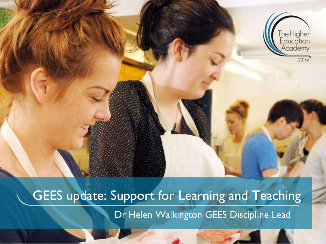

GEES update: Support for Learning and Teaching Dr Helen Walkington GEES Discipline Lead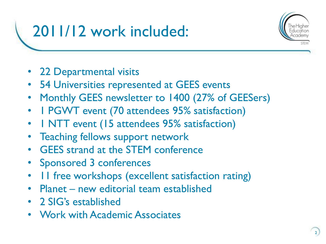# 2011/12 work included:



- 22 Departmental visits
- 54 Universities represented at GEES events
- Monthly GEES newsletter to 1400 (27% of GEESers)
- 1 PGWT event (70 attendees 95% satisfaction)
- I NTT event (15 attendees 95% satisfaction)
- **Teaching fellows support network**
- GEES strand at the STEM conference
- Sponsored 3 conferences
- 11 free workshops (excellent satisfaction rating)
- Planet new editorial team established
- 2 SIG's established
- Work with Academic Associates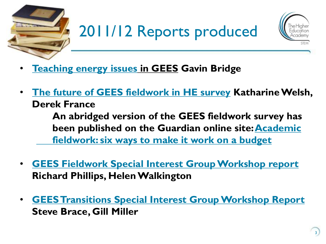



- **[Teaching energy issues](http://www.heacademy.ac.uk/resources/detail/publications/teaching_energy_issues_GEES) in GEES Gavin Bridge**
- **[The future of GEES fieldwork in HE survey](http://www.heacademy.ac.uk/resources/detail/publications/future_of_HE_fieldwork-GEES) Katharine Welsh, Derek France An abridged version of the GEES fieldwork survey has been published on the Guardian online site: [Academic](http://www.guardian.co.uk/higher-education-network/blog/2012/dec/06/academic-fieldwork-advice-funding-management)  [fieldwork: six ways to make it work on a budget](http://www.guardian.co.uk/higher-education-network/blog/2012/dec/06/academic-fieldwork-advice-funding-management)**
- **[GEES Fieldwork Special Interest Group Workshop report](http://www.heacademy.ac.uk/resources/detail/subjects/gees/Fieldwork_SIG_Aug_2012) Richard Phillips, Helen Walkington**
- **[GEES Transitions Special Interest Group Workshop Report](http://www.heacademy.ac.uk/resources/detail/subjects/gees/HEA_STEM_GEES_Transitions_SIG_June_2012) Steve Brace, Gill Miller**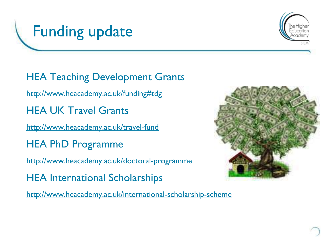



HEA Teaching Development Grants [http://www.heacademy.ac.uk/funding#tdg](http://www.heacademy.ac.uk/funding) HEA UK Travel Grants <http://www.heacademy.ac.uk/travel-fund> HEA PhD Programme <http://www.heacademy.ac.uk/doctoral-programme> HEA International Scholarships

<http://www.heacademy.ac.uk/international-scholarship-scheme>

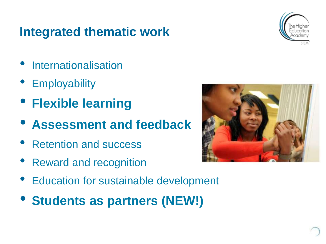#### **Integrated thematic work**



- **Internationalisation**
- **Employability**
- **Flexible learning**
- **Assessment and feedback**
- Retention and success
- Reward and recognition
- Education for sustainable development
- **Students as partners (NEW!)**

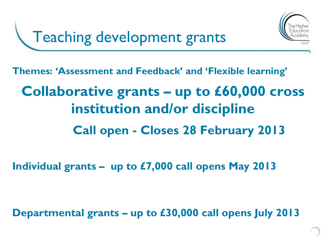

**Themes: 'Assessment and Feedback' and 'Flexible learning'**

## **Collaborative grants – up to £60,000 cross institution and/or discipline Call open - Closes 28 February 2013**

**Individual grants – up to £7,000 call opens May 2013**

**Departmental grants – up to £30,000 call opens July 2013**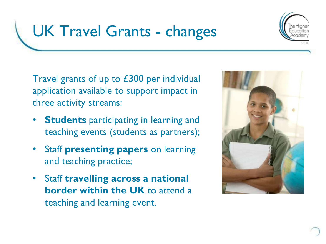

## UK Travel Grants - changes

Travel grants of up to £300 per individual application available to support impact in three activity streams:

- **Students** participating in learning and teaching events (students as partners);
- Staff **presenting papers** on learning and teaching practice;
- Staff **travelling across a national border within the UK** to attend a teaching and learning event.

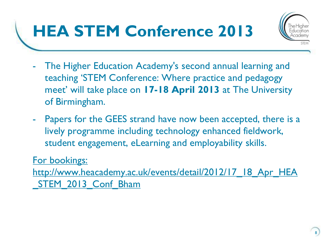# **HEA STEM Conference 2013**



- The Higher Education Academy's second annual learning and teaching 'STEM Conference: Where practice and pedagogy meet' will take place on **17-18 April 2013** at The University of Birmingham.
- Papers for the GEES strand have now been accepted, there is a lively programme including technology enhanced fieldwork, student engagement, eLearning and employability skills.

#### [For bookings:](http://www.heacademy.ac.uk/events/detail/2012/17_18_Apr_HEA_STEM_2013_Conf_Bham)

[http://www.heacademy.ac.uk/events/detail/2012/17\\_18\\_Apr\\_HEA](http://www.heacademy.ac.uk/events/detail/2012/17_18_Apr_HEA_STEM_2013_Conf_Bham) STEM 2013 Conf Bham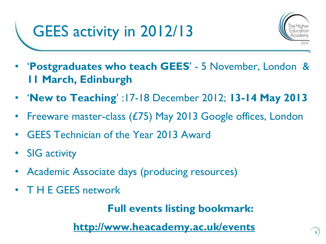

9

- '**Postgraduates who teach GEES**' 5 November, London & **11 March, Edinburgh**
- '**New to Teaching**' :17-18 December 2012; **13-14 May 2013**
- Freeware master-class (£75) May 2013 Google offices, London
- GEES Technician of the Year 2013 Award
- SIG activity
- Academic Associate days (producing resources)
- T H E GEES network

**Full events listing bookmark:**

**<http://www.heacademy.ac.uk/events>**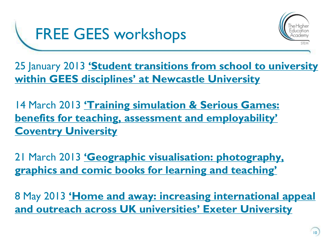



25 January 2013 **['Student transitions from school to university](http://www.heacademy.ac.uk/events/detail/2013/25_Jan_Newcastle-GEES)  [within GEES disciplines' at Newcastle](http://www.heacademy.ac.uk/events/detail/2013/25_Jan_Newcastle-GEES) [University](http://www.heacademy.ac.uk/events/detail/2013/25_Jan_Newcastle-GEES)**

14 March 2013 **['Training simulation & Serious Games:](http://www.heacademy.ac.uk/events/detail/2013/14_March_Coventry_GEES)  [benefits for teaching, assessment and employability'](http://www.heacademy.ac.uk/events/detail/2013/14_March_Coventry_GEES)  [Coventry University](http://www.heacademy.ac.uk/events/detail/2013/14_March_Coventry_GEES)**

21 March 2013 **['Geographic visualisation: photography,](http://www.heacademy.ac.uk/events/detail/2013/21_March_Northumbria_GEES)  [graphics and comic books for learning and teaching'](http://www.heacademy.ac.uk/events/detail/2013/21_March_Northumbria_GEES)**

8 May 2013 **['Home and away: increasing international appeal](http://www.heacademy.ac.uk/events/detail/2013/08_May_Exeter_GEES)  [and outreach across UK universities' Exeter](http://www.heacademy.ac.uk/events/detail/2013/08_May_Exeter_GEES) [University](http://www.heacademy.ac.uk/events/detail/2013/08_May_Exeter_GEES)**